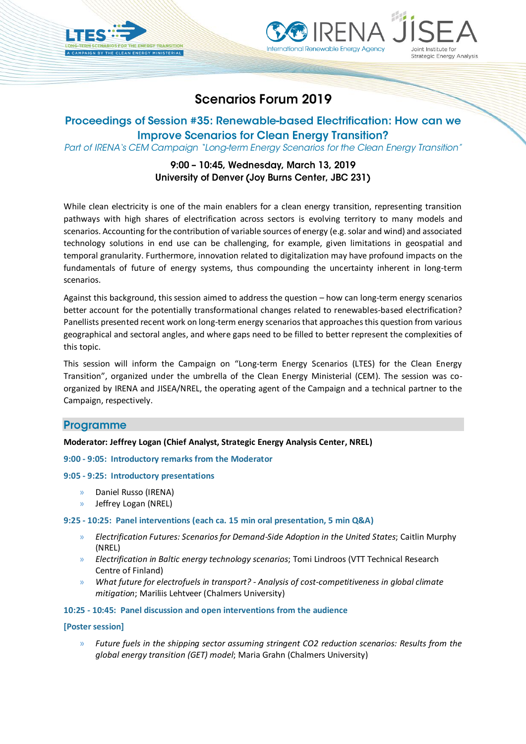



# **Scenarios Forum 2019**

# Proceedings of Session #35: Renewable-based Electrification: How can we **Improve Scenarios for Clean Energy Transition?**

Part of IRENA's CEM Campaign "Long-term Energy Scenarios for the Clean Energy Transition"

# 9:00 - 10:45, Wednesday, March 13, 2019 University of Denver (Joy Burns Center, JBC 231)

While clean electricity is one of the main enablers for a clean energy transition, representing transition pathways with high shares of electrification across sectors is evolving territory to many models and scenarios. Accounting for the contribution of variable sources of energy (e.g. solar and wind) and associated technology solutions in end use can be challenging, for example, given limitations in geospatial and temporal granularity. Furthermore, innovation related to digitalization may have profound impacts on the fundamentals of future of energy systems, thus compounding the uncertainty inherent in long-term scenarios.

Against this background, this session aimed to address the question – how can long-term energy scenarios better account for the potentially transformational changes related to renewables-based electrification? Panellists presented recent work on long-term energy scenarios that approaches this question from various geographical and sectoral angles, and where gaps need to be filled to better represent the complexities of this topic.

This session will inform the Campaign on "Long-term Energy Scenarios (LTES) for the Clean Energy Transition", organized under the umbrella of the Clean Energy Ministerial (CEM). The session was coorganized by IRENA and JISEA/NREL, the operating agent of the Campaign and a technical partner to the Campaign, respectively.

## **Programme**

### **Moderator: Jeffrey Logan (Chief Analyst, Strategic Energy Analysis Center, NREL)**

### **9:00 - 9:05: Introductory remarks from the Moderator**

### **9:05 - 9:25: Introductory presentations**

- » Daniel Russo (IRENA)
- » Jeffrey Logan (NREL)

### **9:25 - 10:25: Panel interventions (each ca. 15 min oral presentation, 5 min Q&A)**

- » *Electrification Futures: Scenarios for Demand-Side Adoption in the United States*; Caitlin Murphy (NREL)
- » *Electrification in Baltic energy technology scenarios*; Tomi Lindroos (VTT Technical Research Centre of Finland)
- » *What future for electrofuels in transport? - Analysis of cost-competitiveness in global climate mitigation*; Mariliis Lehtveer (Chalmers University)

**10:25 - 10:45: Panel discussion and open interventions from the audience**

### **[Poster session]**

» *Future fuels in the shipping sector assuming stringent CO2 reduction scenarios: Results from the global energy transition (GET) model*; Maria Grahn (Chalmers University)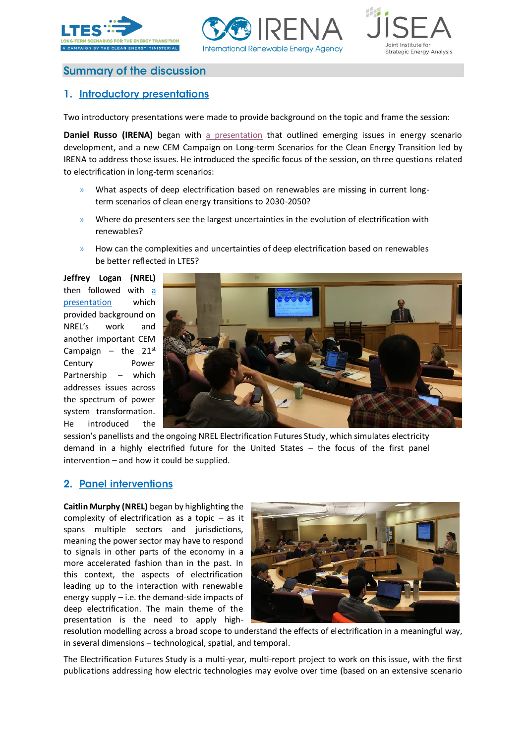





# **Summary of the discussion**

# 1. Introductory presentations

Two introductory presentations were made to provide background on the topic and frame the session:

**Daniel Russo (IRENA)** began with [a presentation](https://www.dropbox.com/s/sofjvq8njx8a3qi/Denver%20Scenarios%20Forum%202019%20-%20IRENA%20LTES.pptx?dl=0) that outlined emerging issues in energy scenario development, and a new CEM Campaign on Long-term Scenarios for the Clean Energy Transition led by IRENA to address those issues. He introduced the specific focus of the session, on three questions related to electrification in long-term scenarios:

- » What aspects of deep electrification based on renewables are missing in current longterm scenarios of clean energy transitions to 2030-2050?
- » Where do presenters see the largest uncertainties in the evolution of electrification with renewables?
- » How can the complexities and uncertainties of deep electrification based on renewables be better reflected in LTES?

**Jeffrey Logan (NREL)** then followed with [a](https://www.dropbox.com/s/45h6q8xmr6oqagr/2019-3-13%20DU%20Scenarios%20Workshop%20Intro.pptx?dl=0)  [presentation](https://www.dropbox.com/s/45h6q8xmr6oqagr/2019-3-13%20DU%20Scenarios%20Workshop%20Intro.pptx?dl=0) which provided background on NREL's work and another important CEM Campaign  $-$  the 21st Century Power Partnership – which addresses issues across the spectrum of power system transformation. He introduced the



session's panellists and the ongoing NREL Electrification Futures Study, which simulates electricity demand in a highly electrified future for the United States – the focus of the first panel intervention – and how it could be supplied.

## 2. Panel interventions

**Caitlin Murphy (NREL)** began by highlighting the complexity of electrification as a topic – as it spans multiple sectors and jurisdictions, meaning the power sector may have to respond to signals in other parts of the economy in a more accelerated fashion than in the past. In this context, the aspects of electrification leading up to the interaction with renewable energy supply  $-$  i.e. the demand-side impacts of deep electrification. The main theme of the presentation is the need to apply high-



resolution modelling across a broad scope to understand the effects of electrification in a meaningful way, in several dimensions – technological, spatial, and temporal.

The Electrification Futures Study is a multi-year, multi-report project to work on this issue, with the first publications addressing how electric technologies may evolve over time (based on an extensive scenario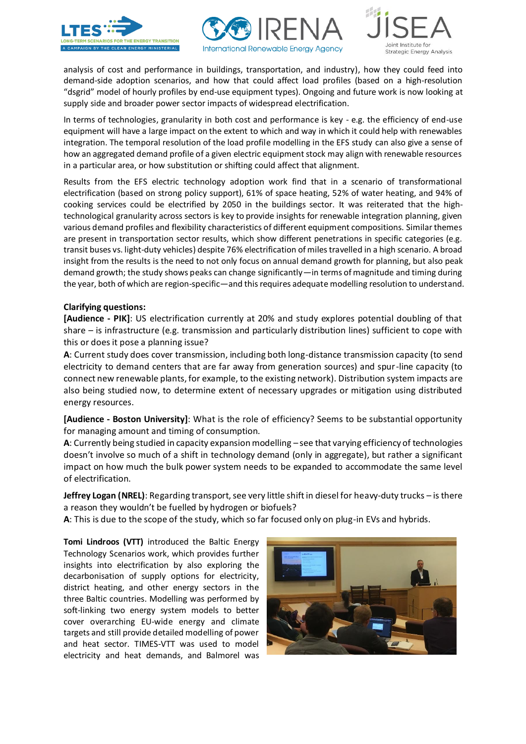





analysis of cost and performance in buildings, transportation, and industry), how they could feed into demand-side adoption scenarios, and how that could affect load profiles (based on a high-resolution "dsgrid" model of hourly profiles by end-use equipment types). Ongoing and future work is now looking at supply side and broader power sector impacts of widespread electrification.

In terms of technologies, granularity in both cost and performance is key - e.g. the efficiency of end-use equipment will have a large impact on the extent to which and way in which it could help with renewables integration. The temporal resolution of the load profile modelling in the EFS study can also give a sense of how an aggregated demand profile of a given electric equipment stock may align with renewable resources in a particular area, or how substitution or shifting could affect that alignment.

Results from the EFS electric technology adoption work find that in a scenario of transformational electrification (based on strong policy support), 61% of space heating, 52% of water heating, and 94% of cooking services could be electrified by 2050 in the buildings sector. It was reiterated that the hightechnological granularity across sectors is key to provide insights for renewable integration planning, given various demand profiles and flexibility characteristics of different equipment compositions. Similar themes are present in transportation sector results, which show different penetrations in specific categories (e.g. transit buses vs. light-duty vehicles) despite 76% electrification of miles travelled in a high scenario. A broad insight from the results is the need to not only focus on annual demand growth for planning, but also peak demand growth; the study shows peaks can change significantly—in terms of magnitude and timing during the year, both of which are region-specific—and this requires adequate modelling resolution to understand.

### **Clarifying questions:**

**[Audience - PIK]**: US electrification currently at 20% and study explores potential doubling of that share – is infrastructure (e.g. transmission and particularly distribution lines) sufficient to cope with this or does it pose a planning issue?

**A**: Current study does cover transmission, including both long-distance transmission capacity (to send electricity to demand centers that are far away from generation sources) and spur-line capacity (to connect new renewable plants, for example, to the existing network). Distribution system impacts are also being studied now, to determine extent of necessary upgrades or mitigation using distributed energy resources.

**[Audience - Boston University]**: What is the role of efficiency? Seems to be substantial opportunity for managing amount and timing of consumption.

**A**: Currently being studied in capacity expansion modelling – see that varying efficiency of technologies doesn't involve so much of a shift in technology demand (only in aggregate), but rather a significant impact on how much the bulk power system needs to be expanded to accommodate the same level of electrification.

**Jeffrey Logan (NREL)**: Regarding transport, see very little shift in diesel for heavy-duty trucks – is there a reason they wouldn't be fuelled by hydrogen or biofuels?

**A**: This is due to the scope of the study, which so far focused only on plug-in EVs and hybrids.

**Tomi Lindroos (VTT)** introduced the Baltic Energy Technology Scenarios work, which provides further insights into electrification by also exploring the decarbonisation of supply options for electricity, district heating, and other energy sectors in the three Baltic countries. Modelling was performed by soft-linking two energy system models to better cover overarching EU-wide energy and climate targets and still provide detailed modelling of power and heat sector. TIMES-VTT was used to model electricity and heat demands, and Balmorel was

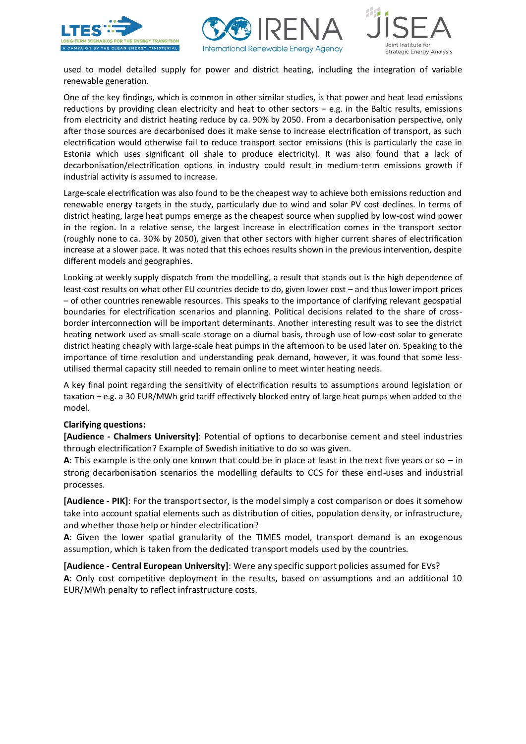





used to model detailed supply for power and district heating, including the integration of variable renewable generation.

One of the key findings, which is common in other similar studies, is that power and heat lead emissions reductions by providing clean electricity and heat to other sectors – e.g. in the Baltic results, emissions from electricity and district heating reduce by ca. 90% by 2050. From a decarbonisation perspective, only after those sources are decarbonised does it make sense to increase electrification of transport, as such electrification would otherwise fail to reduce transport sector emissions (this is particularly the case in Estonia which uses significant oil shale to produce electricity). It was also found that a lack of decarbonisation/electrification options in industry could result in medium-term emissions growth if industrial activity is assumed to increase.

Large-scale electrification was also found to be the cheapest way to achieve both emissions reduction and renewable energy targets in the study, particularly due to wind and solar PV cost declines. In terms of district heating, large heat pumps emerge as the cheapest source when supplied by low-cost wind power in the region. In a relative sense, the largest increase in electrification comes in the transport sector (roughly none to ca. 30% by 2050), given that other sectors with higher current shares of electrification increase at a slower pace. It was noted that this echoes results shown in the previous intervention, despite different models and geographies.

Looking at weekly supply dispatch from the modelling, a result that stands out is the high dependence of least-cost results on what other EU countries decide to do, given lower cost – and thus lower import prices – of other countries renewable resources. This speaks to the importance of clarifying relevant geospatial boundaries for electrification scenarios and planning. Political decisions related to the share of crossborder interconnection will be important determinants. Another interesting result was to see the district heating network used as small-scale storage on a diurnal basis, through use of low-cost solar to generate district heating cheaply with large-scale heat pumps in the afternoon to be used later on. Speaking to the importance of time resolution and understanding peak demand, however, it was found that some lessutilised thermal capacity still needed to remain online to meet winter heating needs.

A key final point regarding the sensitivity of electrification results to assumptions around legislation or taxation – e.g. a 30 EUR/MWh grid tariff effectively blocked entry of large heat pumps when added to the model.

### **Clarifying questions:**

**[Audience - Chalmers University]**: Potential of options to decarbonise cement and steel industries through electrification? Example of Swedish initiative to do so was given.

**A**: This example is the only one known that could be in place at least in the next five years or so – in strong decarbonisation scenarios the modelling defaults to CCS for these end-uses and industrial processes.

**[Audience - PIK]**: For the transport sector, is the model simply a cost comparison or does it somehow take into account spatial elements such as distribution of cities, population density, or infrastructure, and whether those help or hinder electrification?

**A**: Given the lower spatial granularity of the TIMES model, transport demand is an exogenous assumption, which is taken from the dedicated transport models used by the countries.

**[Audience - Central European University]**: Were any specific support policies assumed for EVs? **A**: Only cost competitive deployment in the results, based on assumptions and an additional 10 EUR/MWh penalty to reflect infrastructure costs.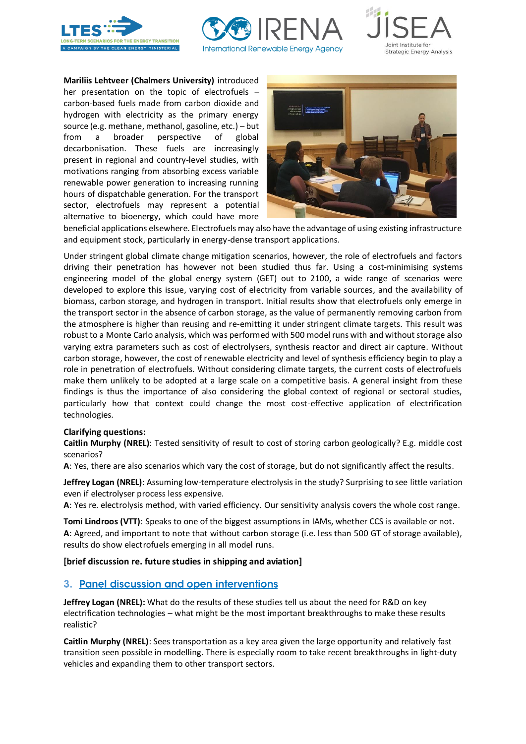





**Mariliis Lehtveer (Chalmers University)** introduced her presentation on the topic of electrofuels – carbon-based fuels made from carbon dioxide and hydrogen with electricity as the primary energy source (e.g. methane, methanol, gasoline, etc.) – but from a broader perspective of global decarbonisation. These fuels are increasingly present in regional and country-level studies, with motivations ranging from absorbing excess variable renewable power generation to increasing running hours of dispatchable generation. For the transport sector, electrofuels may represent a potential alternative to bioenergy, which could have more



beneficial applications elsewhere. Electrofuels may also have the advantage of using existing infrastructure and equipment stock, particularly in energy-dense transport applications.

Under stringent global climate change mitigation scenarios, however, the role of electrofuels and factors driving their penetration has however not been studied thus far. Using a cost-minimising systems engineering model of the global energy system (GET) out to 2100, a wide range of scenarios were developed to explore this issue, varying cost of electricity from variable sources, and the availability of biomass, carbon storage, and hydrogen in transport. Initial results show that electrofuels only emerge in the transport sector in the absence of carbon storage, as the value of permanently removing carbon from the atmosphere is higher than reusing and re-emitting it under stringent climate targets. This result was robust to a Monte Carlo analysis, which was performed with 500 model runs with and without storage also varying extra parameters such as cost of electrolysers, synthesis reactor and direct air capture. Without carbon storage, however, the cost of renewable electricity and level of synthesis efficiency begin to play a role in penetration of electrofuels. Without considering climate targets, the current costs of electrofuels make them unlikely to be adopted at a large scale on a competitive basis. A general insight from these findings is thus the importance of also considering the global context of regional or sectoral studies, particularly how that context could change the most cost-effective application of electrification technologies.

### **Clarifying questions:**

**Caitlin Murphy (NREL)**: Tested sensitivity of result to cost of storing carbon geologically? E.g. middle cost scenarios?

**A**: Yes, there are also scenarios which vary the cost of storage, but do not significantly affect the results.

**Jeffrey Logan (NREL)**: Assuming low-temperature electrolysis in the study? Surprising to see little variation even if electrolyser process less expensive.

**A**: Yes re. electrolysis method, with varied efficiency. Our sensitivity analysis covers the whole cost range.

**Tomi Lindroos (VTT)**: Speaks to one of the biggest assumptions in IAMs, whether CCS is available or not. **A**: Agreed, and important to note that without carbon storage (i.e. less than 500 GT of storage available), results do show electrofuels emerging in all model runs.

### **[brief discussion re. future studies in shipping and aviation]**

### 3. Panel discussion and open interventions

**Jeffrey Logan (NREL):** What do the results of these studies tell us about the need for R&D on key electrification technologies – what might be the most important breakthroughs to make these results realistic?

**Caitlin Murphy (NREL)**: Sees transportation as a key area given the large opportunity and relatively fast transition seen possible in modelling. There is especially room to take recent breakthroughs in light-duty vehicles and expanding them to other transport sectors.